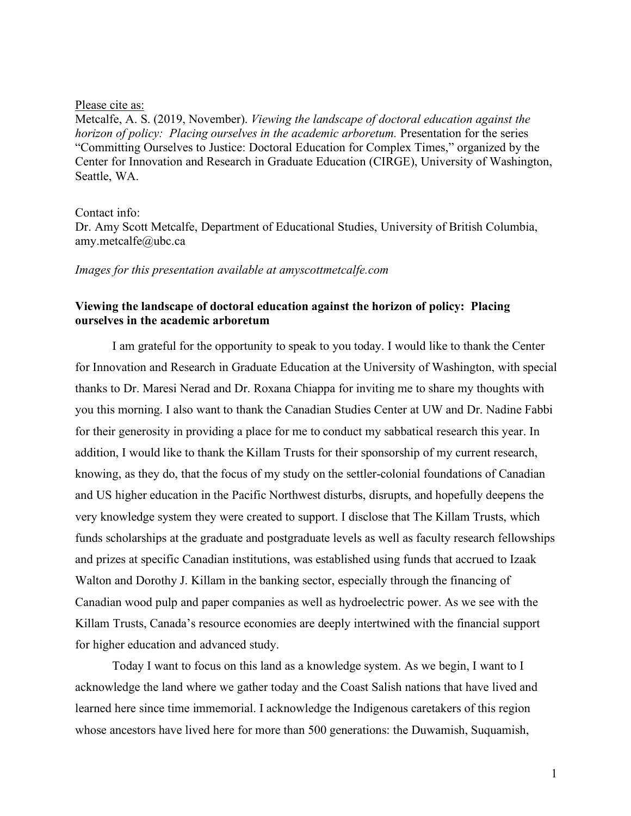## Please cite as:

Metcalfe, A. S. (2019, November). *Viewing the landscape of doctoral education against the horizon of policy: Placing ourselves in the academic arboretum.* Presentation for the series "Committing Ourselves to Justice: Doctoral Education for Complex Times," organized by the Center for Innovation and Research in Graduate Education (CIRGE), University of Washington, Seattle, WA.

## Contact info:

Dr. Amy Scott Metcalfe, Department of Educational Studies, University of British Columbia, amy.metcalfe@ubc.ca

*Images for this presentation available at amyscottmetcalfe.com*

## **Viewing the landscape of doctoral education against the horizon of policy: Placing ourselves in the academic arboretum**

I am grateful for the opportunity to speak to you today. I would like to thank the Center for Innovation and Research in Graduate Education at the University of Washington, with special thanks to Dr. Maresi Nerad and Dr. Roxana Chiappa for inviting me to share my thoughts with you this morning. I also want to thank the Canadian Studies Center at UW and Dr. Nadine Fabbi for their generosity in providing a place for me to conduct my sabbatical research this year. In addition, I would like to thank the Killam Trusts for their sponsorship of my current research, knowing, as they do, that the focus of my study on the settler-colonial foundations of Canadian and US higher education in the Pacific Northwest disturbs, disrupts, and hopefully deepens the very knowledge system they were created to support. I disclose that The Killam Trusts, which funds scholarships at the graduate and postgraduate levels as well as faculty research fellowships and prizes at specific Canadian institutions, was established using funds that accrued to Izaak Walton and Dorothy J. Killam in the banking sector, especially through the financing of Canadian wood pulp and paper companies as well as hydroelectric power. As we see with the Killam Trusts, Canada's resource economies are deeply intertwined with the financial support for higher education and advanced study.

Today I want to focus on this land as a knowledge system. As we begin, I want to I acknowledge the land where we gather today and the Coast Salish nations that have lived and learned here since time immemorial. I acknowledge the Indigenous caretakers of this region whose ancestors have lived here for more than 500 generations: the Duwamish, Suquamish,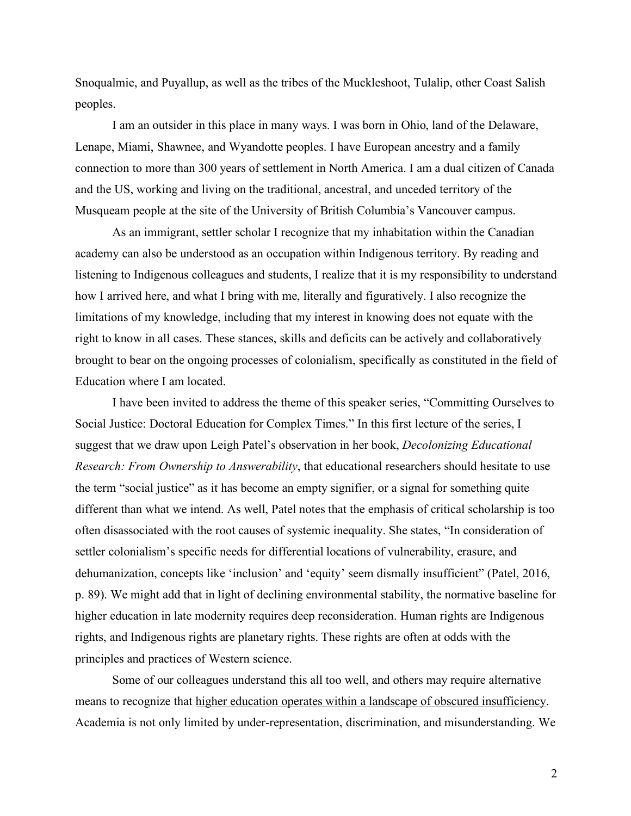Snoqualmie, and Puyallup, as well as the tribes of the Muckleshoot, Tulalip, other Coast Salish peoples.

I am an outsider in this place in many ways. I was born in Ohio, land of the Delaware, Lenape, Miami, Shawnee, and Wyandotte peoples. I have European ancestry and a family connection to more than 300 years of settlement in North America. I am a dual citizen of Canada and the US, working and living on the traditional, ancestral, and unceded territory of the Musqueam people at the site of the University of British Columbia's Vancouver campus.

As an immigrant, settler scholar I recognize that my inhabitation within the Canadian academy can also be understood as an occupation within Indigenous territory. By reading and listening to Indigenous colleagues and students, I realize that it is my responsibility to understand how I arrived here, and what I bring with me, literally and figuratively. I also recognize the limitations of my knowledge, including that my interest in knowing does not equate with the right to know in all cases. These stances, skills and deficits can be actively and collaboratively brought to bear on the ongoing processes of colonialism, specifically as constituted in the field of Education where I am located.

I have been invited to address the theme of this speaker series, "Committing Ourselves to Social Justice: Doctoral Education for Complex Times." In this first lecture of the series, I suggest that we draw upon Leigh Patel's observation in her book, *Decolonizing Educational Research: From Ownership to Answerability*, that educational researchers should hesitate to use the term "social justice" as it has become an empty signifier, or a signal for something quite different than what we intend. As well, Patel notes that the emphasis of critical scholarship is too often disassociated with the root causes of systemic inequality. She states, "In consideration of settler colonialism's specific needs for differential locations of vulnerability, erasure, and dehumanization, concepts like 'inclusion' and 'equity' seem dismally insufficient" (Patel, 2016, p. 89). We might add that in light of declining environmental stability, the normative baseline for higher education in late modernity requires deep reconsideration. Human rights are Indigenous rights, and Indigenous rights are planetary rights. These rights are often at odds with the principles and practices of Western science.

Some of our colleagues understand this all too well, and others may require alternative means to recognize that higher education operates within a landscape of obscured insufficiency. Academia is not only limited by under-representation, discrimination, and misunderstanding. We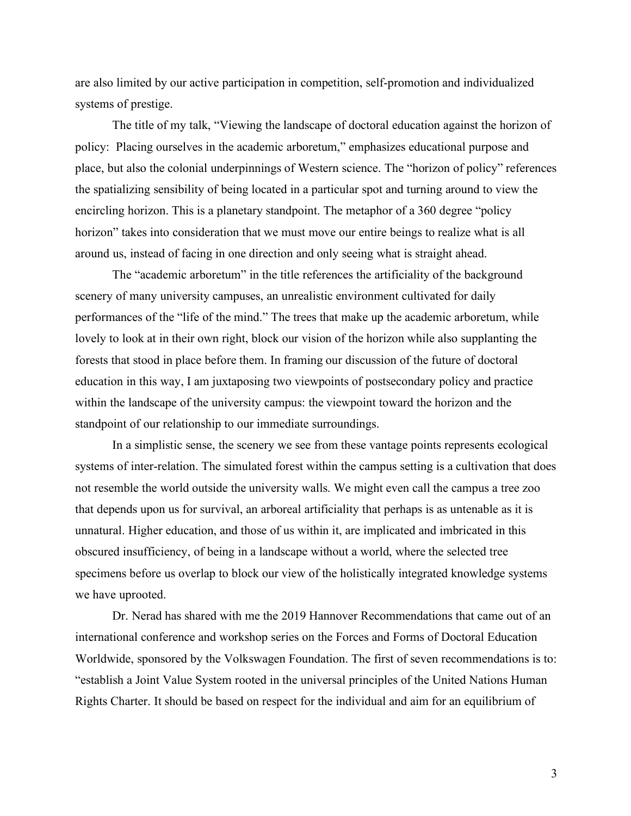are also limited by our active participation in competition, self-promotion and individualized systems of prestige.

The title of my talk, "Viewing the landscape of doctoral education against the horizon of policy: Placing ourselves in the academic arboretum," emphasizes educational purpose and place, but also the colonial underpinnings of Western science. The "horizon of policy" references the spatializing sensibility of being located in a particular spot and turning around to view the encircling horizon. This is a planetary standpoint. The metaphor of a 360 degree "policy horizon" takes into consideration that we must move our entire beings to realize what is all around us, instead of facing in one direction and only seeing what is straight ahead.

The "academic arboretum" in the title references the artificiality of the background scenery of many university campuses, an unrealistic environment cultivated for daily performances of the "life of the mind." The trees that make up the academic arboretum, while lovely to look at in their own right, block our vision of the horizon while also supplanting the forests that stood in place before them. In framing our discussion of the future of doctoral education in this way, I am juxtaposing two viewpoints of postsecondary policy and practice within the landscape of the university campus: the viewpoint toward the horizon and the standpoint of our relationship to our immediate surroundings.

In a simplistic sense, the scenery we see from these vantage points represents ecological systems of inter-relation. The simulated forest within the campus setting is a cultivation that does not resemble the world outside the university walls. We might even call the campus a tree zoo that depends upon us for survival, an arboreal artificiality that perhaps is as untenable as it is unnatural. Higher education, and those of us within it, are implicated and imbricated in this obscured insufficiency, of being in a landscape without a world, where the selected tree specimens before us overlap to block our view of the holistically integrated knowledge systems we have uprooted.

Dr. Nerad has shared with me the 2019 Hannover Recommendations that came out of an international conference and workshop series on the Forces and Forms of Doctoral Education Worldwide, sponsored by the Volkswagen Foundation. The first of seven recommendations is to: "establish a Joint Value System rooted in the universal principles of the United Nations Human Rights Charter. It should be based on respect for the individual and aim for an equilibrium of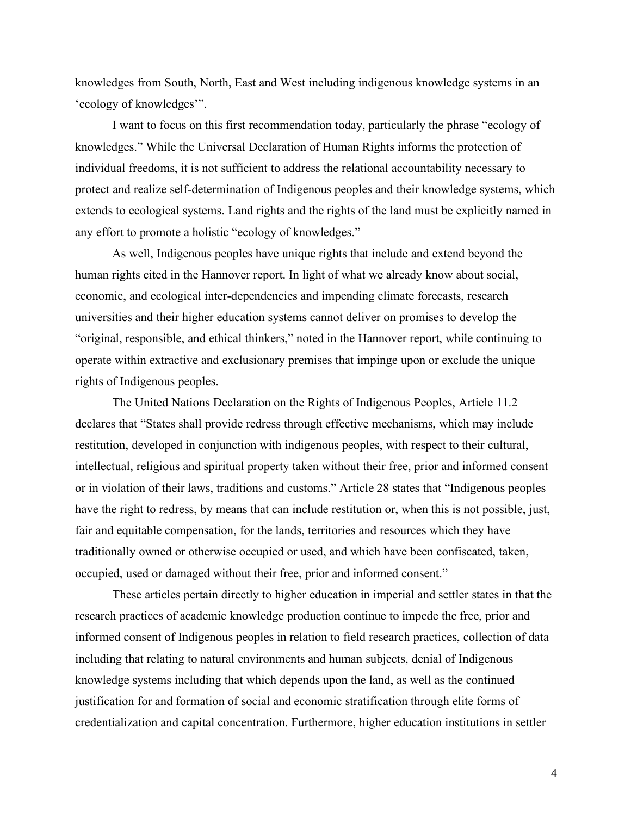knowledges from South, North, East and West including indigenous knowledge systems in an 'ecology of knowledges'".

I want to focus on this first recommendation today, particularly the phrase "ecology of knowledges." While the Universal Declaration of Human Rights informs the protection of individual freedoms, it is not sufficient to address the relational accountability necessary to protect and realize self-determination of Indigenous peoples and their knowledge systems, which extends to ecological systems. Land rights and the rights of the land must be explicitly named in any effort to promote a holistic "ecology of knowledges."

As well, Indigenous peoples have unique rights that include and extend beyond the human rights cited in the Hannover report. In light of what we already know about social, economic, and ecological inter-dependencies and impending climate forecasts, research universities and their higher education systems cannot deliver on promises to develop the "original, responsible, and ethical thinkers," noted in the Hannover report, while continuing to operate within extractive and exclusionary premises that impinge upon or exclude the unique rights of Indigenous peoples.

The United Nations Declaration on the Rights of Indigenous Peoples, Article 11.2 declares that "States shall provide redress through effective mechanisms, which may include restitution, developed in conjunction with indigenous peoples, with respect to their cultural, intellectual, religious and spiritual property taken without their free, prior and informed consent or in violation of their laws, traditions and customs." Article 28 states that "Indigenous peoples have the right to redress, by means that can include restitution or, when this is not possible, just, fair and equitable compensation, for the lands, territories and resources which they have traditionally owned or otherwise occupied or used, and which have been confiscated, taken, occupied, used or damaged without their free, prior and informed consent."

These articles pertain directly to higher education in imperial and settler states in that the research practices of academic knowledge production continue to impede the free, prior and informed consent of Indigenous peoples in relation to field research practices, collection of data including that relating to natural environments and human subjects, denial of Indigenous knowledge systems including that which depends upon the land, as well as the continued justification for and formation of social and economic stratification through elite forms of credentialization and capital concentration. Furthermore, higher education institutions in settler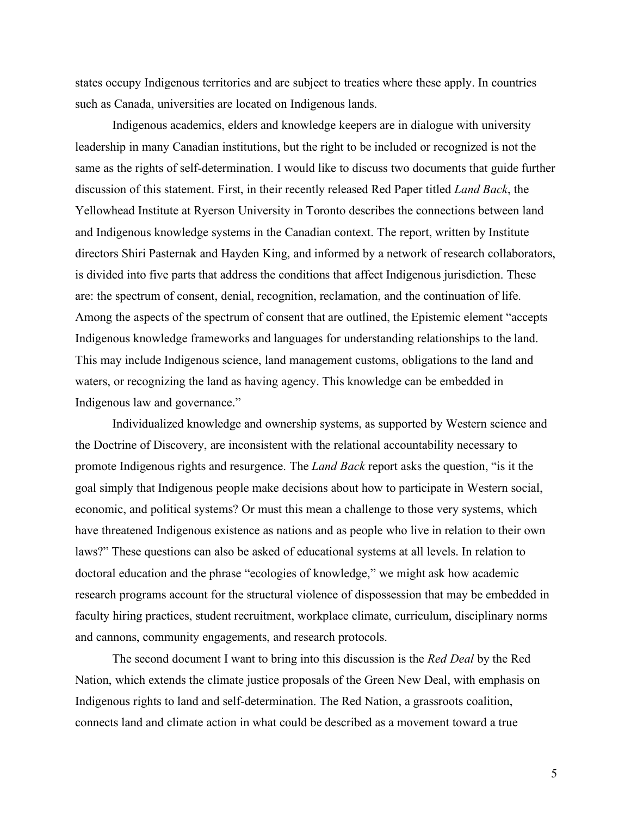states occupy Indigenous territories and are subject to treaties where these apply. In countries such as Canada, universities are located on Indigenous lands.

Indigenous academics, elders and knowledge keepers are in dialogue with university leadership in many Canadian institutions, but the right to be included or recognized is not the same as the rights of self-determination. I would like to discuss two documents that guide further discussion of this statement. First, in their recently released Red Paper titled *Land Back*, the Yellowhead Institute at Ryerson University in Toronto describes the connections between land and Indigenous knowledge systems in the Canadian context. The report, written by Institute directors Shiri Pasternak and Hayden King, and informed by a network of research collaborators, is divided into five parts that address the conditions that affect Indigenous jurisdiction. These are: the spectrum of consent, denial, recognition, reclamation, and the continuation of life. Among the aspects of the spectrum of consent that are outlined, the Epistemic element "accepts Indigenous knowledge frameworks and languages for understanding relationships to the land. This may include Indigenous science, land management customs, obligations to the land and waters, or recognizing the land as having agency. This knowledge can be embedded in Indigenous law and governance."

Individualized knowledge and ownership systems, as supported by Western science and the Doctrine of Discovery, are inconsistent with the relational accountability necessary to promote Indigenous rights and resurgence. The *Land Back* report asks the question, "is it the goal simply that Indigenous people make decisions about how to participate in Western social, economic, and political systems? Or must this mean a challenge to those very systems, which have threatened Indigenous existence as nations and as people who live in relation to their own laws?" These questions can also be asked of educational systems at all levels. In relation to doctoral education and the phrase "ecologies of knowledge," we might ask how academic research programs account for the structural violence of dispossession that may be embedded in faculty hiring practices, student recruitment, workplace climate, curriculum, disciplinary norms and cannons, community engagements, and research protocols.

The second document I want to bring into this discussion is the *Red Deal* by the Red Nation, which extends the climate justice proposals of the Green New Deal, with emphasis on Indigenous rights to land and self-determination. The Red Nation, a grassroots coalition, connects land and climate action in what could be described as a movement toward a true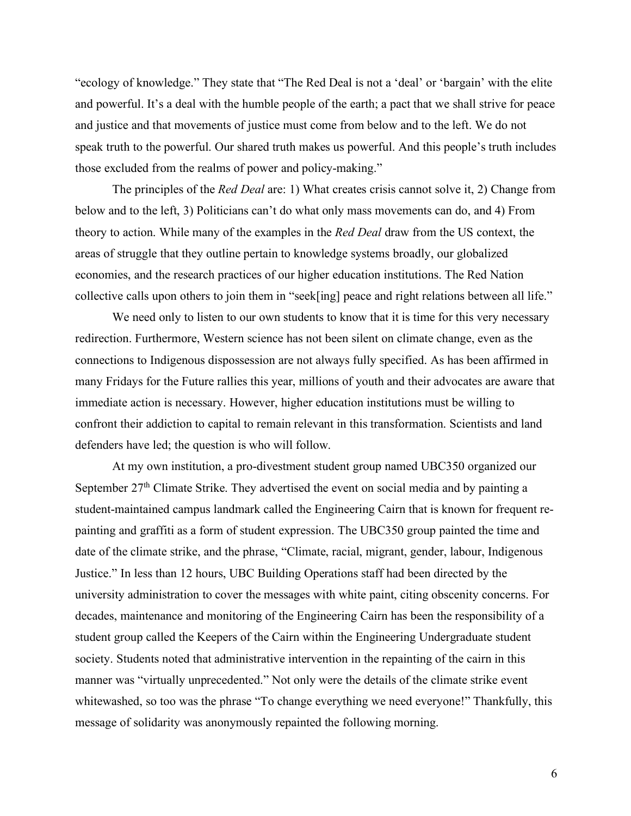"ecology of knowledge." They state that "The Red Deal is not a 'deal' or 'bargain' with the elite and powerful. It's a deal with the humble people of the earth; a pact that we shall strive for peace and justice and that movements of justice must come from below and to the left. We do not speak truth to the powerful. Our shared truth makes us powerful. And this people's truth includes those excluded from the realms of power and policy-making."

The principles of the *Red Deal* are: 1) What creates crisis cannot solve it, 2) Change from below and to the left, 3) Politicians can't do what only mass movements can do, and 4) From theory to action. While many of the examples in the *Red Deal* draw from the US context, the areas of struggle that they outline pertain to knowledge systems broadly, our globalized economies, and the research practices of our higher education institutions. The Red Nation collective calls upon others to join them in "seek[ing] peace and right relations between all life."

We need only to listen to our own students to know that it is time for this very necessary redirection. Furthermore, Western science has not been silent on climate change, even as the connections to Indigenous dispossession are not always fully specified. As has been affirmed in many Fridays for the Future rallies this year, millions of youth and their advocates are aware that immediate action is necessary. However, higher education institutions must be willing to confront their addiction to capital to remain relevant in this transformation. Scientists and land defenders have led; the question is who will follow.

At my own institution, a pro-divestment student group named UBC350 organized our September 27<sup>th</sup> Climate Strike. They advertised the event on social media and by painting a student-maintained campus landmark called the Engineering Cairn that is known for frequent repainting and graffiti as a form of student expression. The UBC350 group painted the time and date of the climate strike, and the phrase, "Climate, racial, migrant, gender, labour, Indigenous Justice." In less than 12 hours, UBC Building Operations staff had been directed by the university administration to cover the messages with white paint, citing obscenity concerns. For decades, maintenance and monitoring of the Engineering Cairn has been the responsibility of a student group called the Keepers of the Cairn within the Engineering Undergraduate student society. Students noted that administrative intervention in the repainting of the cairn in this manner was "virtually unprecedented." Not only were the details of the climate strike event whitewashed, so too was the phrase "To change everything we need everyone!" Thankfully, this message of solidarity was anonymously repainted the following morning.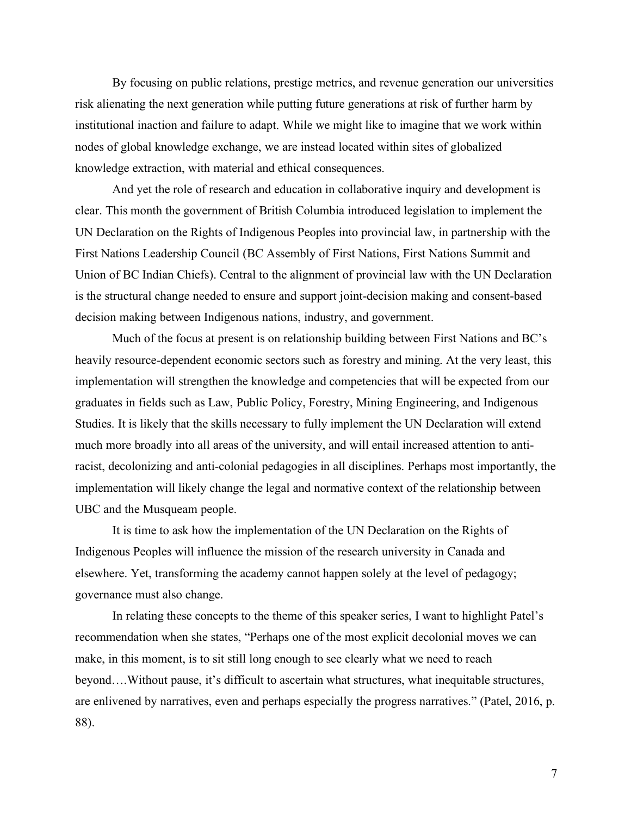By focusing on public relations, prestige metrics, and revenue generation our universities risk alienating the next generation while putting future generations at risk of further harm by institutional inaction and failure to adapt. While we might like to imagine that we work within nodes of global knowledge exchange, we are instead located within sites of globalized knowledge extraction, with material and ethical consequences.

And yet the role of research and education in collaborative inquiry and development is clear. This month the government of British Columbia introduced legislation to implement the UN Declaration on the Rights of Indigenous Peoples into provincial law, in partnership with the First Nations Leadership Council (BC Assembly of First Nations, First Nations Summit and Union of BC Indian Chiefs). Central to the alignment of provincial law with the UN Declaration is the structural change needed to ensure and support joint-decision making and consent-based decision making between Indigenous nations, industry, and government.

Much of the focus at present is on relationship building between First Nations and BC's heavily resource-dependent economic sectors such as forestry and mining. At the very least, this implementation will strengthen the knowledge and competencies that will be expected from our graduates in fields such as Law, Public Policy, Forestry, Mining Engineering, and Indigenous Studies. It is likely that the skills necessary to fully implement the UN Declaration will extend much more broadly into all areas of the university, and will entail increased attention to antiracist, decolonizing and anti-colonial pedagogies in all disciplines. Perhaps most importantly, the implementation will likely change the legal and normative context of the relationship between UBC and the Musqueam people.

It is time to ask how the implementation of the UN Declaration on the Rights of Indigenous Peoples will influence the mission of the research university in Canada and elsewhere. Yet, transforming the academy cannot happen solely at the level of pedagogy; governance must also change.

In relating these concepts to the theme of this speaker series, I want to highlight Patel's recommendation when she states, "Perhaps one of the most explicit decolonial moves we can make, in this moment, is to sit still long enough to see clearly what we need to reach beyond….Without pause, it's difficult to ascertain what structures, what inequitable structures, are enlivened by narratives, even and perhaps especially the progress narratives." (Patel, 2016, p. 88).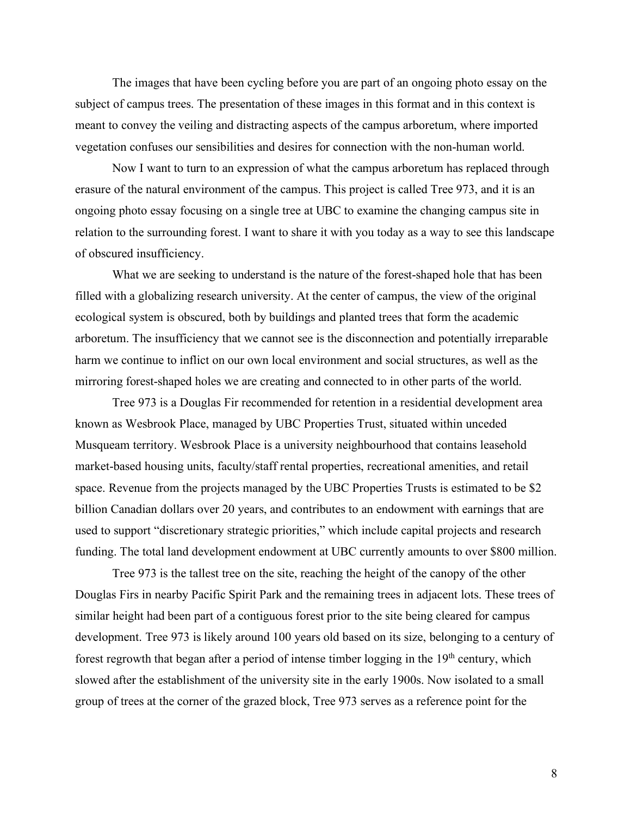The images that have been cycling before you are part of an ongoing photo essay on the subject of campus trees. The presentation of these images in this format and in this context is meant to convey the veiling and distracting aspects of the campus arboretum, where imported vegetation confuses our sensibilities and desires for connection with the non-human world.

Now I want to turn to an expression of what the campus arboretum has replaced through erasure of the natural environment of the campus. This project is called Tree 973, and it is an ongoing photo essay focusing on a single tree at UBC to examine the changing campus site in relation to the surrounding forest. I want to share it with you today as a way to see this landscape of obscured insufficiency.

What we are seeking to understand is the nature of the forest-shaped hole that has been filled with a globalizing research university. At the center of campus, the view of the original ecological system is obscured, both by buildings and planted trees that form the academic arboretum. The insufficiency that we cannot see is the disconnection and potentially irreparable harm we continue to inflict on our own local environment and social structures, as well as the mirroring forest-shaped holes we are creating and connected to in other parts of the world.

Tree 973 is a Douglas Fir recommended for retention in a residential development area known as Wesbrook Place, managed by UBC Properties Trust, situated within unceded Musqueam territory. Wesbrook Place is a university neighbourhood that contains leasehold market-based housing units, faculty/staff rental properties, recreational amenities, and retail space. Revenue from the projects managed by the UBC Properties Trusts is estimated to be \$2 billion Canadian dollars over 20 years, and contributes to an endowment with earnings that are used to support "discretionary strategic priorities," which include capital projects and research funding. The total land development endowment at UBC currently amounts to over \$800 million.

Tree 973 is the tallest tree on the site, reaching the height of the canopy of the other Douglas Firs in nearby Pacific Spirit Park and the remaining trees in adjacent lots. These trees of similar height had been part of a contiguous forest prior to the site being cleared for campus development. Tree 973 is likely around 100 years old based on its size, belonging to a century of forest regrowth that began after a period of intense timber logging in the 19<sup>th</sup> century, which slowed after the establishment of the university site in the early 1900s. Now isolated to a small group of trees at the corner of the grazed block, Tree 973 serves as a reference point for the